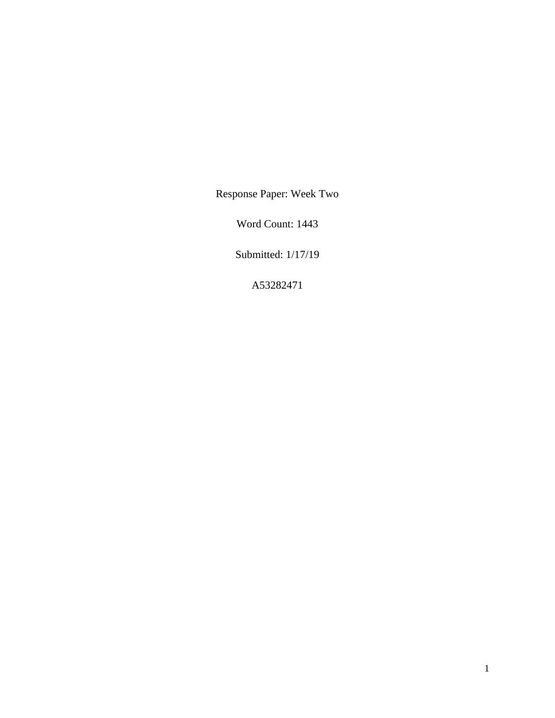Response Paper: Week Two

Word Count: 1443

Submitted: 1/17/19

A53282471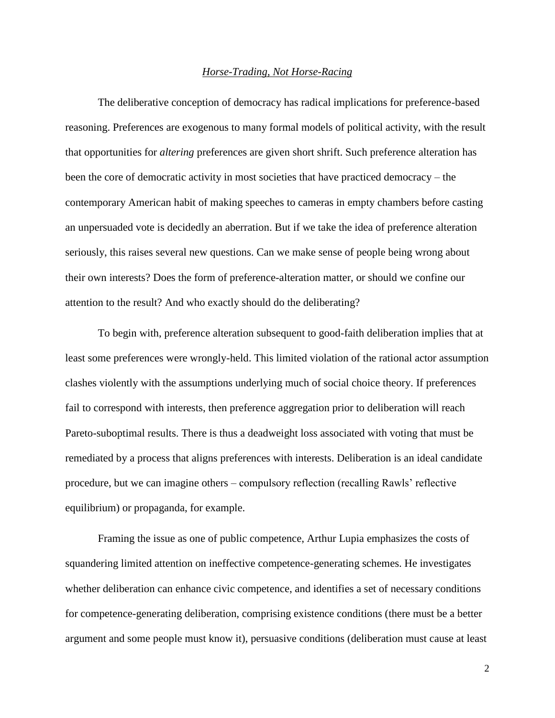## *Horse-Trading, Not Horse-Racing*

The deliberative conception of democracy has radical implications for preference-based reasoning. Preferences are exogenous to many formal models of political activity, with the result that opportunities for *altering* preferences are given short shrift. Such preference alteration has been the core of democratic activity in most societies that have practiced democracy – the contemporary American habit of making speeches to cameras in empty chambers before casting an unpersuaded vote is decidedly an aberration. But if we take the idea of preference alteration seriously, this raises several new questions. Can we make sense of people being wrong about their own interests? Does the form of preference-alteration matter, or should we confine our attention to the result? And who exactly should do the deliberating?

To begin with, preference alteration subsequent to good-faith deliberation implies that at least some preferences were wrongly-held. This limited violation of the rational actor assumption clashes violently with the assumptions underlying much of social choice theory. If preferences fail to correspond with interests, then preference aggregation prior to deliberation will reach Pareto-suboptimal results. There is thus a deadweight loss associated with voting that must be remediated by a process that aligns preferences with interests. Deliberation is an ideal candidate procedure, but we can imagine others – compulsory reflection (recalling Rawls' reflective equilibrium) or propaganda, for example.

Framing the issue as one of public competence, Arthur Lupia emphasizes the costs of squandering limited attention on ineffective competence-generating schemes. He investigates whether deliberation can enhance civic competence, and identifies a set of necessary conditions for competence-generating deliberation, comprising existence conditions (there must be a better argument and some people must know it), persuasive conditions (deliberation must cause at least

2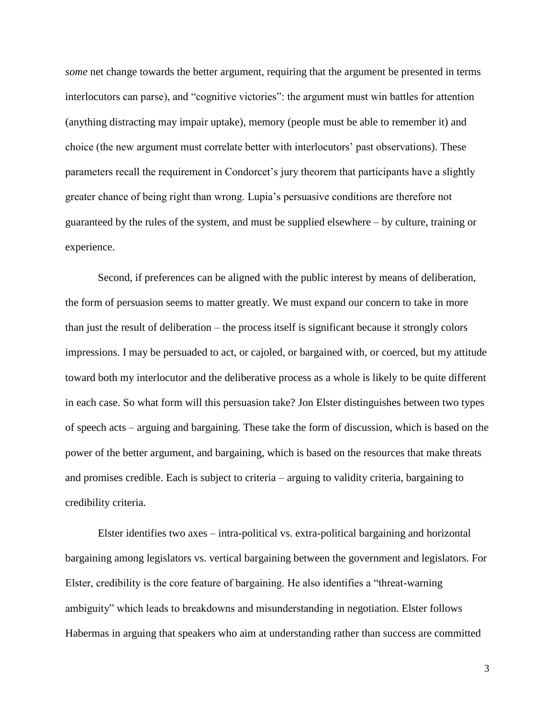*some* net change towards the better argument, requiring that the argument be presented in terms interlocutors can parse), and "cognitive victories": the argument must win battles for attention (anything distracting may impair uptake), memory (people must be able to remember it) and choice (the new argument must correlate better with interlocutors' past observations). These parameters recall the requirement in Condorcet's jury theorem that participants have a slightly greater chance of being right than wrong. Lupia's persuasive conditions are therefore not guaranteed by the rules of the system, and must be supplied elsewhere – by culture, training or experience.

Second, if preferences can be aligned with the public interest by means of deliberation, the form of persuasion seems to matter greatly. We must expand our concern to take in more than just the result of deliberation – the process itself is significant because it strongly colors impressions. I may be persuaded to act, or cajoled, or bargained with, or coerced, but my attitude toward both my interlocutor and the deliberative process as a whole is likely to be quite different in each case. So what form will this persuasion take? Jon Elster distinguishes between two types of speech acts – arguing and bargaining. These take the form of discussion, which is based on the power of the better argument, and bargaining, which is based on the resources that make threats and promises credible. Each is subject to criteria – arguing to validity criteria, bargaining to credibility criteria.

Elster identifies two axes – intra-political vs. extra-political bargaining and horizontal bargaining among legislators vs. vertical bargaining between the government and legislators. For Elster, credibility is the core feature of bargaining. He also identifies a "threat-warning ambiguity" which leads to breakdowns and misunderstanding in negotiation. Elster follows Habermas in arguing that speakers who aim at understanding rather than success are committed

3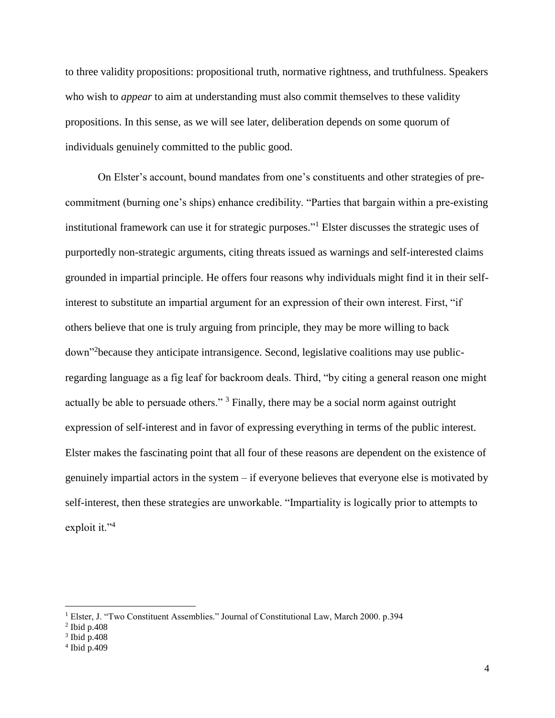to three validity propositions: propositional truth, normative rightness, and truthfulness. Speakers who wish to *appear* to aim at understanding must also commit themselves to these validity propositions. In this sense, as we will see later, deliberation depends on some quorum of individuals genuinely committed to the public good.

On Elster's account, bound mandates from one's constituents and other strategies of precommitment (burning one's ships) enhance credibility. "Parties that bargain within a pre-existing institutional framework can use it for strategic purposes." <sup>1</sup> Elster discusses the strategic uses of purportedly non-strategic arguments, citing threats issued as warnings and self-interested claims grounded in impartial principle. He offers four reasons why individuals might find it in their selfinterest to substitute an impartial argument for an expression of their own interest. First, "if others believe that one is truly arguing from principle, they may be more willing to back down"<sup>2</sup> because they anticipate intransigence. Second, legislative coalitions may use publicregarding language as a fig leaf for backroom deals. Third, "by citing a general reason one might actually be able to persuade others."<sup>3</sup> Finally, there may be a social norm against outright expression of self-interest and in favor of expressing everything in terms of the public interest. Elster makes the fascinating point that all four of these reasons are dependent on the existence of genuinely impartial actors in the system – if everyone believes that everyone else is motivated by self-interest, then these strategies are unworkable. "Impartiality is logically prior to attempts to exploit it."<sup>4</sup>

 $\overline{a}$ 

<sup>&</sup>lt;sup>1</sup> Elster, J. "Two Constituent Assemblies." Journal of Constitutional Law, March 2000. p.394

<sup>2</sup> Ibid p.408

<sup>3</sup> Ibid p.408

<sup>4</sup> Ibid p.409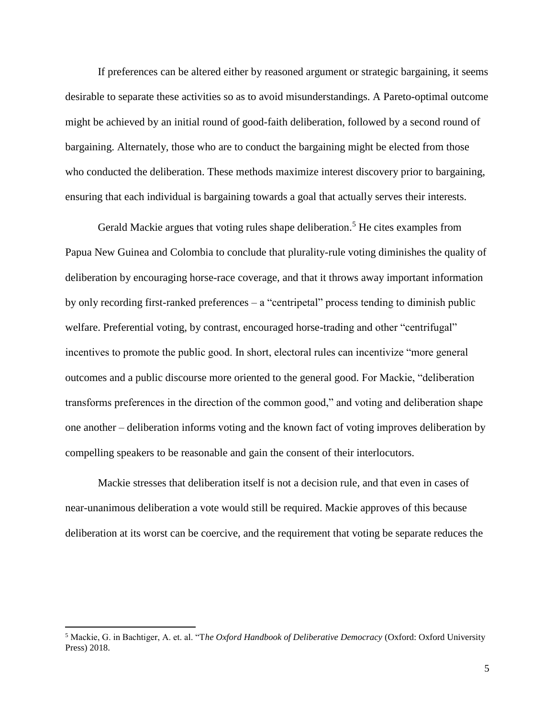If preferences can be altered either by reasoned argument or strategic bargaining, it seems desirable to separate these activities so as to avoid misunderstandings. A Pareto-optimal outcome might be achieved by an initial round of good-faith deliberation, followed by a second round of bargaining. Alternately, those who are to conduct the bargaining might be elected from those who conducted the deliberation. These methods maximize interest discovery prior to bargaining, ensuring that each individual is bargaining towards a goal that actually serves their interests.

Gerald Mackie argues that voting rules shape deliberation.<sup>5</sup> He cites examples from Papua New Guinea and Colombia to conclude that plurality-rule voting diminishes the quality of deliberation by encouraging horse-race coverage, and that it throws away important information by only recording first-ranked preferences – a "centripetal" process tending to diminish public welfare. Preferential voting, by contrast, encouraged horse-trading and other "centrifugal" incentives to promote the public good. In short, electoral rules can incentivize "more general outcomes and a public discourse more oriented to the general good. For Mackie, "deliberation transforms preferences in the direction of the common good," and voting and deliberation shape one another – deliberation informs voting and the known fact of voting improves deliberation by compelling speakers to be reasonable and gain the consent of their interlocutors.

Mackie stresses that deliberation itself is not a decision rule, and that even in cases of near-unanimous deliberation a vote would still be required. Mackie approves of this because deliberation at its worst can be coercive, and the requirement that voting be separate reduces the

 $\overline{a}$ 

<sup>5</sup> Mackie, G. in Bachtiger, A. et. al. "T*he Oxford Handbook of Deliberative Democracy* (Oxford: Oxford University Press) 2018.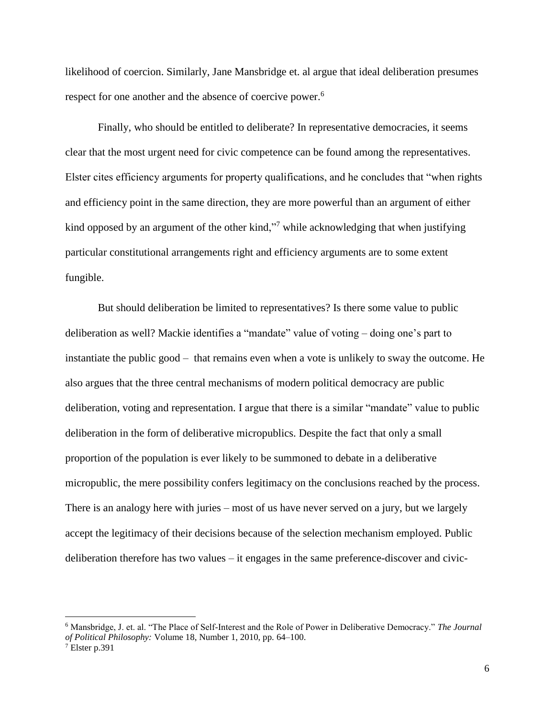likelihood of coercion. Similarly, Jane Mansbridge et. al argue that ideal deliberation presumes respect for one another and the absence of coercive power.<sup>6</sup>

Finally, who should be entitled to deliberate? In representative democracies, it seems clear that the most urgent need for civic competence can be found among the representatives. Elster cites efficiency arguments for property qualifications, and he concludes that "when rights and efficiency point in the same direction, they are more powerful than an argument of either kind opposed by an argument of the other kind,"<sup>7</sup> while acknowledging that when justifying particular constitutional arrangements right and efficiency arguments are to some extent fungible.

But should deliberation be limited to representatives? Is there some value to public deliberation as well? Mackie identifies a "mandate" value of voting – doing one's part to instantiate the public good – that remains even when a vote is unlikely to sway the outcome. He also argues that the three central mechanisms of modern political democracy are public deliberation, voting and representation. I argue that there is a similar "mandate" value to public deliberation in the form of deliberative micropublics. Despite the fact that only a small proportion of the population is ever likely to be summoned to debate in a deliberative micropublic, the mere possibility confers legitimacy on the conclusions reached by the process. There is an analogy here with juries – most of us have never served on a jury, but we largely accept the legitimacy of their decisions because of the selection mechanism employed. Public deliberation therefore has two values – it engages in the same preference-discover and civic-

 $\overline{\phantom{a}}$ 

<sup>6</sup> Mansbridge, J. et. al. "The Place of Self-Interest and the Role of Power in Deliberative Democracy." *The Journal of Political Philosophy:* Volume 18, Number 1, 2010, pp. 64–100.

<sup>7</sup> Elster p.391